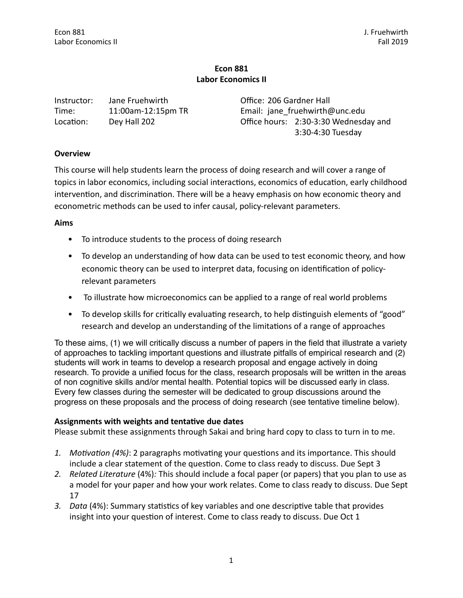## **Econ 881 Labor Economics II**

| Instructor: | Jane Fruehwirth    |
|-------------|--------------------|
| Time:       | 11:00am-12:15pm TR |
| Location:   | Dey Hall 202       |

Office: 206 Gardner Hall Email: jane fruehwirth@unc.edu Office hours: 2:30-3:30 Wednesday and 3:30-4:30 Tuesday 

## **Overview**

This course will help students learn the process of doing research and will cover a range of topics in labor economics, including social interactions, economics of education, early childhood intervention, and discrimination. There will be a heavy emphasis on how economic theory and econometric methods can be used to infer causal, policy-relevant parameters.

#### **Aims**

- To introduce students to the process of doing research
- To develop an understanding of how data can be used to test economic theory, and how economic theory can be used to interpret data, focusing on identification of policyrelevant parameters
- To illustrate how microeconomics can be applied to a range of real world problems
- To develop skills for critically evaluating research, to help distinguish elements of "good" research and develop an understanding of the limitations of a range of approaches

To these aims, (1) we will critically discuss a number of papers in the field that illustrate a variety of approaches to tackling important questions and illustrate pitfalls of empirical research and (2) students will work in teams to develop a research proposal and engage actively in doing research. To provide a unified focus for the class, research proposals will be written in the areas of non cognitive skills and/or mental health. Potential topics will be discussed early in class. Every few classes during the semester will be dedicated to group discussions around the progress on these proposals and the process of doing research (see tentative timeline below).

### Assignments with weights and tentative due dates

Please submit these assignments through Sakai and bring hard copy to class to turn in to me.

- 1. Motivation (4%): 2 paragraphs motivating your questions and its importance. This should include a clear statement of the question. Come to class ready to discuss. Due Sept 3
- 2. *Related Literature* (4%): This should include a focal paper (or papers) that you plan to use as a model for your paper and how your work relates. Come to class ready to discuss. Due Sept 17
- 3. *Data* (4%): Summary statistics of key variables and one descriptive table that provides insight into your question of interest. Come to class ready to discuss. Due Oct 1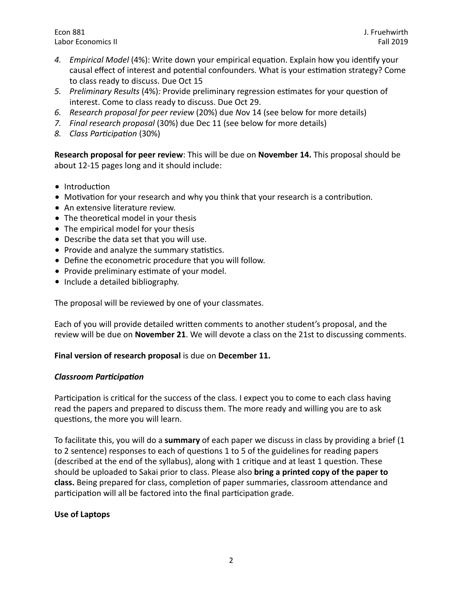Econ 881 Labor Economics II

- 4. *Empirical Model* (4%): Write down your empirical equation. Explain how you identify your causal effect of interest and potential confounders. What is your estimation strategy? Come to class ready to discuss. Due Oct 15
- 5. Preliminary Results (4%): Provide preliminary regression estimates for your question of interest. Come to class ready to discuss. Due Oct 29.
- *6. Research proposal for peer review* (20%) due *N*ov 14 (see below for more details)
- 7. Final research proposal (30%) due Dec 11 (see below for more details)
- 8. Class Participation (30%)

**Research proposal for peer review**: This will be due on **November 14.** This proposal should be about 12-15 pages long and it should include:

- $\bullet$  Introduction
- $\bullet$  Motivation for your research and why you think that your research is a contribution.
- An extensive literature review.
- $\bullet$  The theoretical model in your thesis
- The empirical model for your thesis
- Describe the data set that you will use.
- Provide and analyze the summary statistics.
- Define the econometric procedure that you will follow.
- Provide preliminary estimate of your model.
- Include a detailed bibliography.

The proposal will be reviewed by one of your classmates.

Each of you will provide detailed written comments to another student's proposal, and the review will be due on **November 21**. We will devote a class on the 21st to discussing comments.

### Final version of research proposal is due on December 11.

#### *Classroom Participation*

Participation is critical for the success of the class. I expect you to come to each class having read the papers and prepared to discuss them. The more ready and willing you are to ask questions, the more you will learn.

To facilitate this, you will do a **summary** of each paper we discuss in class by providing a brief (1) to 2 sentence) responses to each of questions 1 to 5 of the guidelines for reading papers (described at the end of the syllabus), along with 1 critique and at least 1 question. These should be uploaded to Sakai prior to class. Please also **bring a printed copy of the paper to class.** Being prepared for class, completion of paper summaries, classroom attendance and participation will all be factored into the final participation grade.

### **Use of Laptops**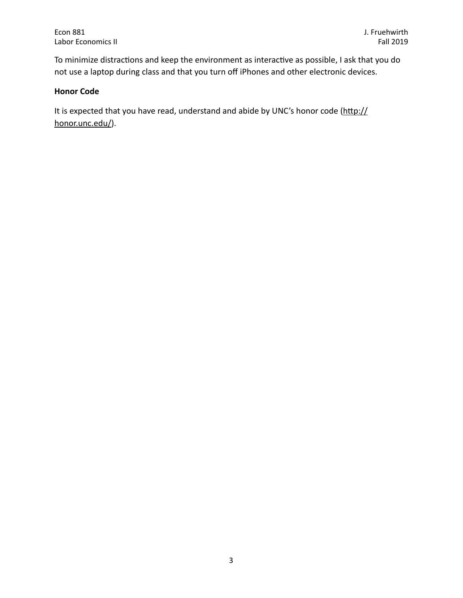To minimize distractions and keep the environment as interactive as possible, I ask that you do not use a laptop during class and that you turn off iPhones and other electronic devices.

# **Honor Code**

It is expected that you have read, understand and abide by UNC's honor code (http:// [honor.unc.edu/](http://honor.unc.edu/)).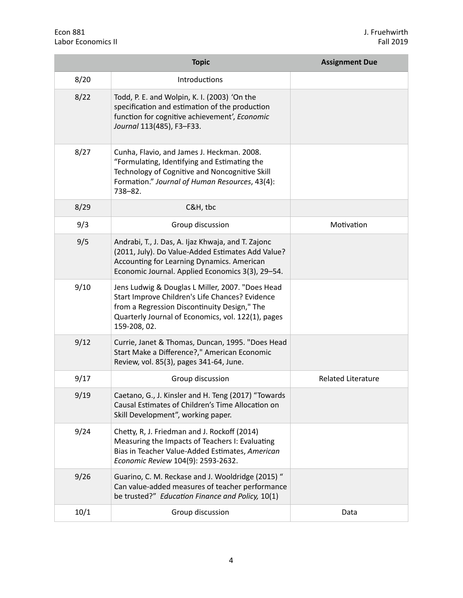|      | <b>Topic</b>                                                                                                                                                                                                              | <b>Assignment Due</b>     |
|------|---------------------------------------------------------------------------------------------------------------------------------------------------------------------------------------------------------------------------|---------------------------|
| 8/20 | Introductions                                                                                                                                                                                                             |                           |
| 8/22 | Todd, P. E. and Wolpin, K. I. (2003) 'On the<br>specification and estimation of the production<br>function for cognitive achievement', Economic<br>Journal 113(485), F3-F33.                                              |                           |
| 8/27 | Cunha, Flavio, and James J. Heckman. 2008.<br>"Formulating, Identifying and Estimating the<br>Technology of Cognitive and Noncognitive Skill<br>Formation." Journal of Human Resources, 43(4):<br>738-82.                 |                           |
| 8/29 | C&H, tbc                                                                                                                                                                                                                  |                           |
| 9/3  | Group discussion                                                                                                                                                                                                          | Motivation                |
| 9/5  | Andrabi, T., J. Das, A. Ijaz Khwaja, and T. Zajonc<br>(2011, July). Do Value-Added Estimates Add Value?<br>Accounting for Learning Dynamics. American<br>Economic Journal. Applied Economics 3(3), 29-54.                 |                           |
| 9/10 | Jens Ludwig & Douglas L Miller, 2007. "Does Head<br>Start Improve Children's Life Chances? Evidence<br>from a Regression Discontinuity Design," The<br>Quarterly Journal of Economics, vol. 122(1), pages<br>159-208, 02. |                           |
| 9/12 | Currie, Janet & Thomas, Duncan, 1995. "Does Head<br>Start Make a Difference?," American Economic<br>Review, vol. 85(3), pages 341-64, June.                                                                               |                           |
| 9/17 | Group discussion                                                                                                                                                                                                          | <b>Related Literature</b> |
| 9/19 | Caetano, G., J. Kinsler and H. Teng (2017) "Towards<br>Causal Estimates of Children's Time Allocation on<br>Skill Development", working paper.                                                                            |                           |
| 9/24 | Chetty, R, J. Friedman and J. Rockoff (2014)<br>Measuring the Impacts of Teachers I: Evaluating<br>Bias in Teacher Value-Added Estimates, American<br>Economic Review 104(9): 2593-2632.                                  |                           |
| 9/26 | Guarino, C. M. Reckase and J. Wooldridge (2015) "<br>Can value-added measures of teacher performance<br>be trusted?" Education Finance and Policy, 10(1)                                                                  |                           |
| 10/1 | Group discussion                                                                                                                                                                                                          | Data                      |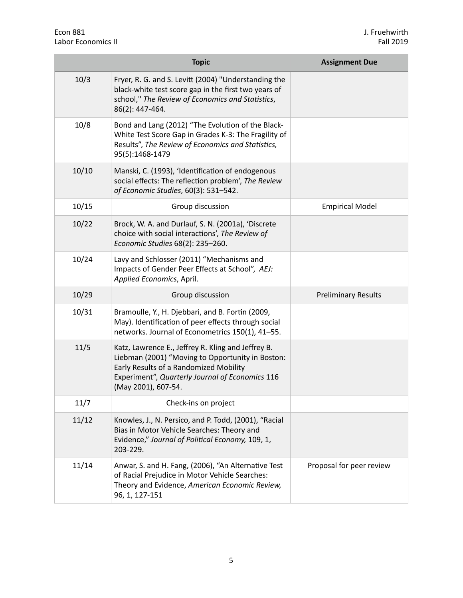|       | <b>Topic</b>                                                                                                                                                                                                               | <b>Assignment Due</b>      |
|-------|----------------------------------------------------------------------------------------------------------------------------------------------------------------------------------------------------------------------------|----------------------------|
| 10/3  | Fryer, R. G. and S. Levitt (2004) "Understanding the<br>black-white test score gap in the first two years of<br>school," The Review of Economics and Statistics,<br>86(2): 447-464.                                        |                            |
| 10/8  | Bond and Lang (2012) "The Evolution of the Black-<br>White Test Score Gap in Grades K-3: The Fragility of<br>Results", The Review of Economics and Statistics,<br>95(5):1468-1479                                          |                            |
| 10/10 | Manski, C. (1993), 'Identification of endogenous<br>social effects: The reflection problem', The Review<br>of Economic Studies, 60(3): 531-542.                                                                            |                            |
| 10/15 | Group discussion                                                                                                                                                                                                           | <b>Empirical Model</b>     |
| 10/22 | Brock, W. A. and Durlauf, S. N. (2001a), 'Discrete<br>choice with social interactions', The Review of<br>Economic Studies 68(2): 235-260.                                                                                  |                            |
| 10/24 | Lavy and Schlosser (2011) "Mechanisms and<br>Impacts of Gender Peer Effects at School", AEJ:<br>Applied Economics, April.                                                                                                  |                            |
| 10/29 | Group discussion                                                                                                                                                                                                           | <b>Preliminary Results</b> |
| 10/31 | Bramoulle, Y., H. Djebbari, and B. Fortin (2009,<br>May). Identification of peer effects through social<br>networks. Journal of Econometrics 150(1), 41-55.                                                                |                            |
| 11/5  | Katz, Lawrence E., Jeffrey R. Kling and Jeffrey B.<br>Liebman (2001) "Moving to Opportunity in Boston:<br>Early Results of a Randomized Mobility<br>Experiment", Quarterly Journal of Economics 116<br>(May 2001), 607-54. |                            |
| 11/7  | Check-ins on project                                                                                                                                                                                                       |                            |
| 11/12 | Knowles, J., N. Persico, and P. Todd, (2001), "Racial<br>Bias in Motor Vehicle Searches: Theory and<br>Evidence," Journal of Political Economy, 109, 1,<br>203-229.                                                        |                            |
| 11/14 | Anwar, S. and H. Fang, (2006), "An Alternative Test<br>of Racial Prejudice in Motor Vehicle Searches:<br>Theory and Evidence, American Economic Review,<br>96, 1, 127-151                                                  | Proposal for peer review   |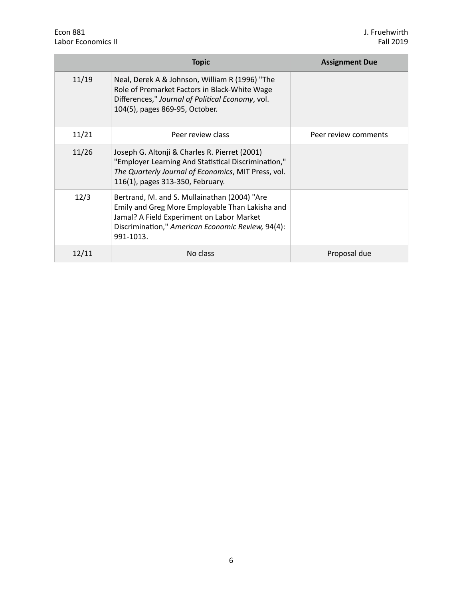|       | <b>Topic</b>                                                                                                                                                                                                   | <b>Assignment Due</b> |
|-------|----------------------------------------------------------------------------------------------------------------------------------------------------------------------------------------------------------------|-----------------------|
| 11/19 | Neal, Derek A & Johnson, William R (1996) "The<br>Role of Premarket Factors in Black-White Wage<br>Differences," Journal of Political Economy, vol.<br>104(5), pages 869-95, October.                          |                       |
| 11/21 | Peer review class                                                                                                                                                                                              | Peer review comments  |
| 11/26 | Joseph G. Altonji & Charles R. Pierret (2001)<br>"Employer Learning And Statistical Discrimination,"<br>The Quarterly Journal of Economics, MIT Press, vol.<br>116(1), pages 313-350, February.                |                       |
| 12/3  | Bertrand, M. and S. Mullainathan (2004) "Are<br>Emily and Greg More Employable Than Lakisha and<br>Jamal? A Field Experiment on Labor Market<br>Discrimination," American Economic Review, 94(4):<br>991-1013. |                       |
| 12/11 | No class                                                                                                                                                                                                       | Proposal due          |